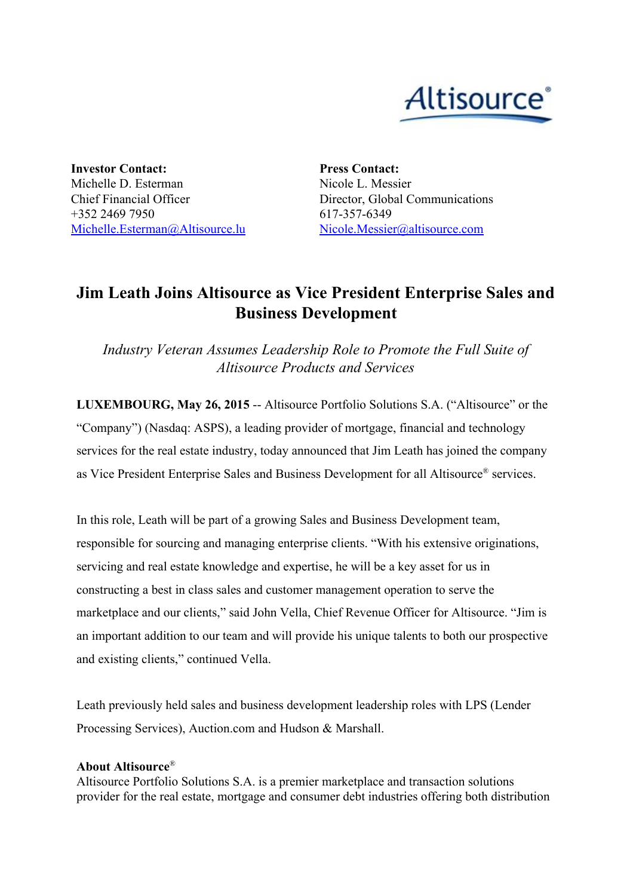

**Investor Contact:** Michelle D. Esterman Chief Financial Officer +352 2469 7950 [Michelle.Esterman@Altisource.lu](mailto:Michelle.Esterman@Altisource.lu) **Press Contact:** Nicole L. Messier Director, Global Communications 617-357-6349 [Nicole.Messier@altisource.com](mailto:Nicole.Messier@altisource.com)

## **Jim Leath Joins Altisource as Vice President Enterprise Sales and Business Development**

*Industry Veteran Assumes Leadership Role to Promote the Full Suite of Altisource Products and Services*

**LUXEMBOURG, May 26, 2015** -- Altisource Portfolio Solutions S.A. ("Altisource" or the "Company") (Nasdaq: ASPS), a leading provider of mortgage, financial and technology services for the real estate industry, today announced that Jim Leath has joined the company as Vice President Enterprise Sales and Business Development for all Altisource ® services.

In this role, Leath will be part of a growing Sales and Business Development team, responsible for sourcing and managing enterprise clients. "With his extensive originations, servicing and real estate knowledge and expertise, he will be a key asset for us in constructing a best in class sales and customer management operation to serve the marketplace and our clients," said John Vella, Chief Revenue Officer for Altisource. "Jim is an important addition to our team and will provide his unique talents to both our prospective and existing clients," continued Vella.

Leath previously held sales and business development leadership roles with LPS (Lender Processing Services), Auction.com and Hudson & Marshall.

## **About Altisource**®

Altisource Portfolio Solutions S.A. is a premier marketplace and transaction solutions provider for the real estate, mortgage and consumer debt industries offering both distribution